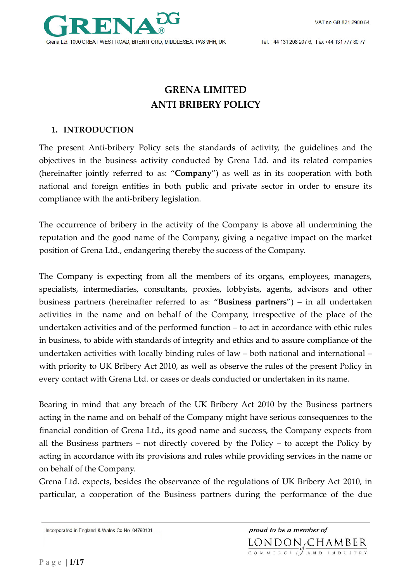VAT no GB 821 2900 64



Tel. +44 131 208 207 6; Fax +44 131 777 80 77

# **GRENA LIMITED ANTI BRIBERY POLICY**

## **1. INTRODUCTION**

The present Anti-bribery Policy sets the standards of activity, the guidelines and the objectives in the business activity conducted by Grena Ltd. and its related companies (hereinafter jointly referred to as: "**Company**") as well as in its cooperation with both national and foreign entities in both public and private sector in order to ensure its compliance with the anti-bribery legislation.

The occurrence of bribery in the activity of the Company is above all undermining the reputation and the good name of the Company, giving a negative impact on the market position of Grena Ltd., endangering thereby the success of the Company.

The Company is expecting from all the members of its organs, employees, managers, specialists, intermediaries, consultants, proxies, lobbyists, agents, advisors and other business partners (hereinafter referred to as: "**Business partners**") – in all undertaken activities in the name and on behalf of the Company, irrespective of the place of the undertaken activities and of the performed function – to act in accordance with ethic rules in business, to abide with standards of integrity and ethics and to assure compliance of the undertaken activities with locally binding rules of law – both national and international – with priority to UK Bribery Act 2010, as well as observe the rules of the present Policy in every contact with Grena Ltd. or cases or deals conducted or undertaken in its name.

Bearing in mind that any breach of the UK Bribery Act 2010 by the Business partners acting in the name and on behalf of the Company might have serious consequences to the financial condition of Grena Ltd., its good name and success, the Company expects from all the Business partners – not directly covered by the Policy – to accept the Policy by acting in accordance with its provisions and rules while providing services in the name or on behalf of the Company.

Grena Ltd. expects, besides the observance of the regulations of UK Bribery Act 2010, in particular, a cooperation of the Business partners during the performance of the due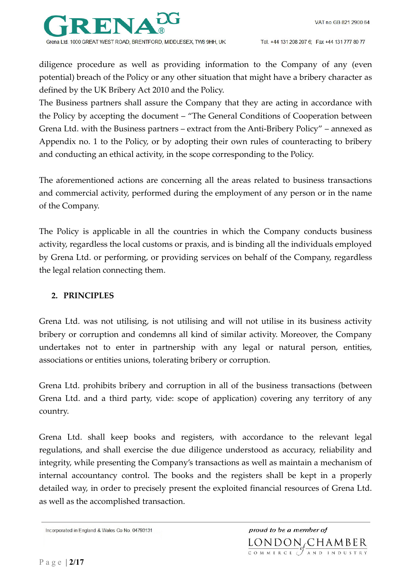

diligence procedure as well as providing information to the Company of any (even potential) breach of the Policy or any other situation that might have a bribery character as defined by the UK Bribery Act 2010 and the Policy.

The Business partners shall assure the Company that they are acting in accordance with the Policy by accepting the document – "The General Conditions of Cooperation between Grena Ltd. with the Business partners – extract from the Anti-Bribery Policy" – annexed as Appendix no. 1 to the Policy, or by adopting their own rules of counteracting to bribery and conducting an ethical activity, in the scope corresponding to the Policy.

The aforementioned actions are concerning all the areas related to business transactions and commercial activity, performed during the employment of any person or in the name of the Company.

The Policy is applicable in all the countries in which the Company conducts business activity, regardless the local customs or praxis, and is binding all the individuals employed by Grena Ltd. or performing, or providing services on behalf of the Company, regardless the legal relation connecting them.

## **2. PRINCIPLES**

Grena Ltd. was not utilising, is not utilising and will not utilise in its business activity bribery or corruption and condemns all kind of similar activity. Moreover, the Company undertakes not to enter in partnership with any legal or natural person, entities, associations or entities unions, tolerating bribery or corruption.

Grena Ltd. prohibits bribery and corruption in all of the business transactions (between Grena Ltd. and a third party, vide: scope of application) covering any territory of any country.

Grena Ltd. shall keep books and registers, with accordance to the relevant legal regulations, and shall exercise the due diligence understood as accuracy, reliability and integrity, while presenting the Company's transactions as well as maintain a mechanism of internal accountancy control. The books and the registers shall be kept in a properly detailed way, in order to precisely present the exploited financial resources of Grena Ltd. as well as the accomplished transaction.

Incorporated in England & Wales Co No. 04793131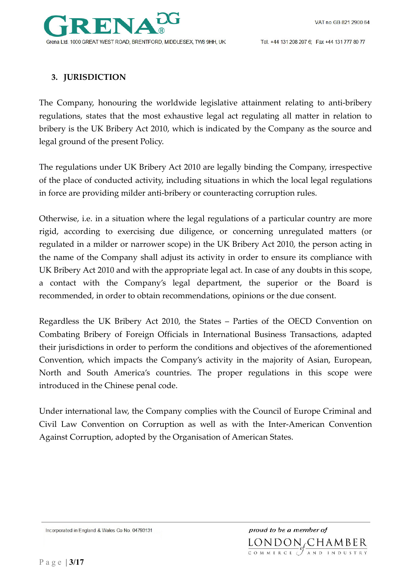Tel. +44 131 208 207 6; Fax +44 131 777 80 77

## **3. JURISDICTION**

The Company, honouring the worldwide legislative attainment relating to anti-bribery regulations, states that the most exhaustive legal act regulating all matter in relation to bribery is the UK Bribery Act 2010, which is indicated by the Company as the source and legal ground of the present Policy.

The regulations under UK Bribery Act 2010 are legally binding the Company, irrespective of the place of conducted activity, including situations in which the local legal regulations in force are providing milder anti-bribery or counteracting corruption rules.

Otherwise, i.e. in a situation where the legal regulations of a particular country are more rigid, according to exercising due diligence, or concerning unregulated matters (or regulated in a milder or narrower scope) in the UK Bribery Act 2010, the person acting in the name of the Company shall adjust its activity in order to ensure its compliance with UK Bribery Act 2010 and with the appropriate legal act. In case of any doubts in this scope, a contact with the Company's legal department, the superior or the Board is recommended, in order to obtain recommendations, opinions or the due consent.

Regardless the UK Bribery Act 2010, the States – Parties of the OECD Convention on Combating Bribery of Foreign Officials in International Business Transactions, adapted their jurisdictions in order to perform the conditions and objectives of the aforementioned Convention, which impacts the Company's activity in the majority of Asian, European, North and South America's countries. The proper regulations in this scope were introduced in the Chinese penal code.

Under international law, the Company complies with the Council of Europe Criminal and Civil Law Convention on Corruption as well as with the Inter-American Convention Against Corruption, adopted by the Organisation of American States.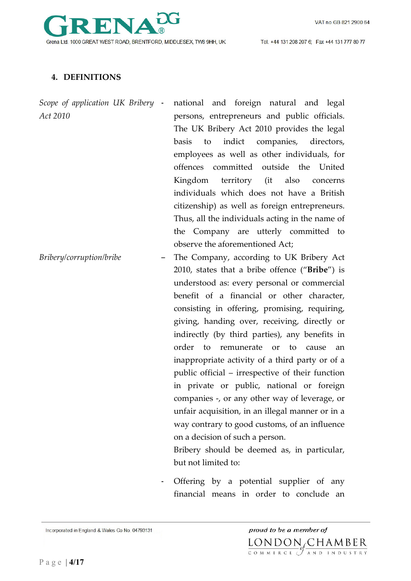

Tel. +44 131 208 207 6; Fax +44 131 777 80 77

## **4. DEFINITIONS**

*Scope of application UK Bribery Act 2010*

national and foreign natural and legal persons, entrepreneurs and public officials. The UK Bribery Act 2010 provides the legal basis to indict companies, directors, employees as well as other individuals, for offences committed outside the United Kingdom territory (it also concerns individuals which does not have a British citizenship) as well as foreign entrepreneurs. Thus, all the individuals acting in the name of the Company are utterly committed to observe the aforementioned Act;

*Bribery/corruption/bribe* – The Company, according to UK Bribery Act 2010, states that a bribe offence ("**Bribe**") is understood as: every personal or commercial benefit of a financial or other character, consisting in offering, promising, requiring, giving, handing over, receiving, directly or indirectly (by third parties), any benefits in order to remunerate or to cause an inappropriate activity of a third party or of a public official – irrespective of their function in private or public, national or foreign companies -, or any other way of leverage, or unfair acquisition, in an illegal manner or in a way contrary to good customs, of an influence on a decision of such a person.

Bribery should be deemed as, in particular, but not limited to:

Offering by a potential supplier of any financial means in order to conclude an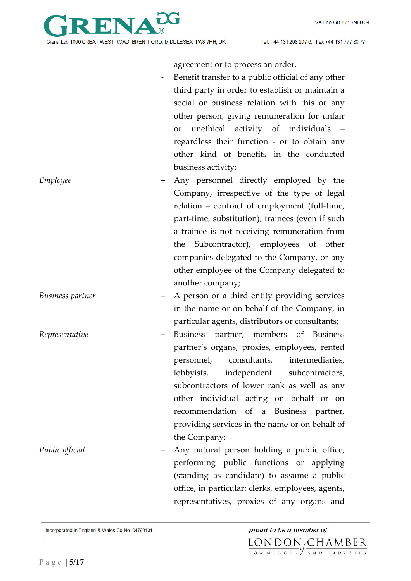

agreement or to process an order.

Benefit transfer to a public official of any other third party in order to establish or maintain a social or business relation with this or any other person, giving remuneration for unfair or unethical activity of individuals – regardless their function - or to obtain any other kind of benefits in the conducted business activity; *Employee* – Any personnel directly employed by the Company, irrespective of the type of legal relation – contract of employment (full-time, part-time, substitution); trainees (even if such a trainee is not receiving remuneration from the Subcontractor), employees of other companies delegated to the Company, or any other employee of the Company delegated to another company; *Business partner* – A person or a third entity providing services in the name or on behalf of the Company, in particular agents, distributors or consultants; *Representative* – Business partner, members of Business partner's organs, proxies, employees, rented personnel, consultants, intermediaries, lobbyists, independent subcontractors, subcontractors of lower rank as well as any other individual acting on behalf or on recommendation of a Business partner, providing services in the name or on behalf of the Company; *Public official* – Any natural person holding a public office, performing public functions or applying (standing as candidate) to assume a public office, in particular: clerks, employees, agents, representatives, proxies of any organs and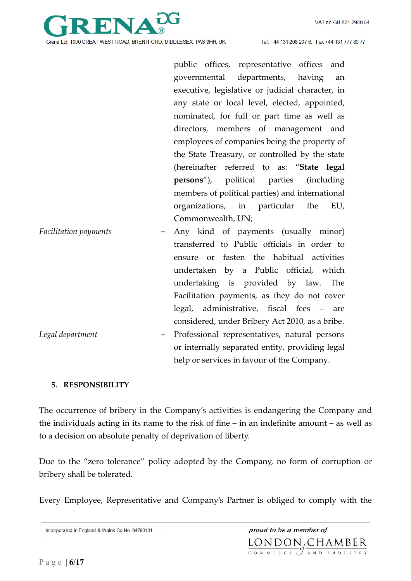

public offices, representative offices and governmental departments, having an executive, legislative or judicial character, in any state or local level, elected, appointed, nominated, for full or part time as well as directors, members of management and employees of companies being the property of the State Treasury, or controlled by the state (hereinafter referred to as: "**State legal persons**"), political parties (including members of political parties) and international organizations, in particular the EU, Commonwealth, UN;

help or services in favour of the Company.

| <b>Facilitation payments</b> | - Any kind of payments (usually minor)          |
|------------------------------|-------------------------------------------------|
|                              | transferred to Public officials in order to     |
|                              | ensure or fasten the habitual activities        |
|                              | undertaken by a Public official, which          |
|                              | undertaking is provided by law. The             |
|                              | Facilitation payments, as they do not cover     |
|                              | legal, administrative, fiscal fees – are        |
|                              | considered, under Bribery Act 2010, as a bribe. |
| Legal department             | - Professional representatives, natural persons |
|                              | or internally separated entity, providing legal |

#### **5. RESPONSIBILITY**

The occurrence of bribery in the Company's activities is endangering the Company and the individuals acting in its name to the risk of fine – in an indefinite amount – as well as to a decision on absolute penalty of deprivation of liberty.

Due to the "zero tolerance" policy adopted by the Company, no form of corruption or bribery shall be tolerated.

Every Employee, Representative and Company's Partner is obliged to comply with the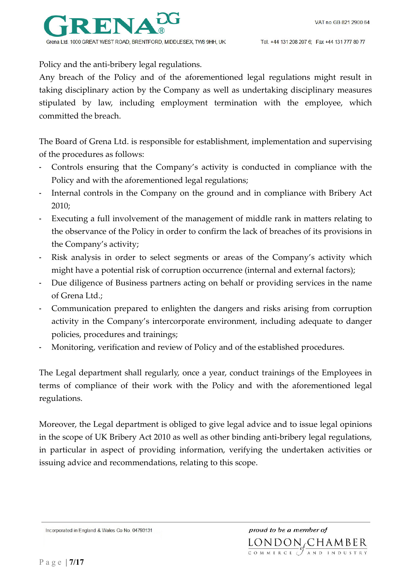

Policy and the anti-bribery legal regulations.

Any breach of the Policy and of the aforementioned legal regulations might result in taking disciplinary action by the Company as well as undertaking disciplinary measures stipulated by law, including employment termination with the employee, which committed the breach.

The Board of Grena Ltd. is responsible for establishment, implementation and supervising of the procedures as follows:

- Controls ensuring that the Company's activity is conducted in compliance with the Policy and with the aforementioned legal regulations;
- Internal controls in the Company on the ground and in compliance with Bribery Act 2010;
- Executing a full involvement of the management of middle rank in matters relating to the observance of the Policy in order to confirm the lack of breaches of its provisions in the Company's activity;
- Risk analysis in order to select segments or areas of the Company's activity which might have a potential risk of corruption occurrence (internal and external factors);
- Due diligence of Business partners acting on behalf or providing services in the name of Grena Ltd.;
- Communication prepared to enlighten the dangers and risks arising from corruption activity in the Company's intercorporate environment, including adequate to danger policies, procedures and trainings;
- Monitoring, verification and review of Policy and of the established procedures.

The Legal department shall regularly, once a year, conduct trainings of the Employees in terms of compliance of their work with the Policy and with the aforementioned legal regulations.

Moreover, the Legal department is obliged to give legal advice and to issue legal opinions in the scope of UK Bribery Act 2010 as well as other binding anti-bribery legal regulations, in particular in aspect of providing information, verifying the undertaken activities or issuing advice and recommendations, relating to this scope.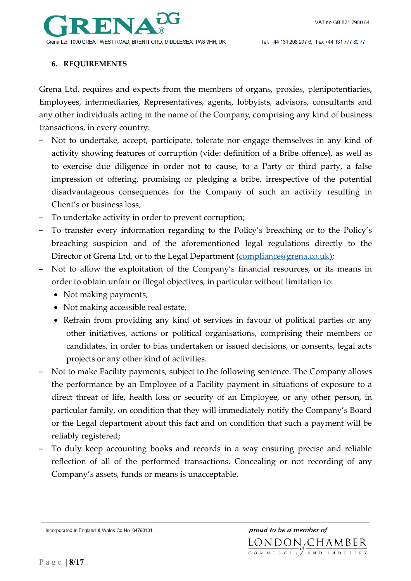

#### **6. REQUIREMENTS**

Grena Ltd. requires and expects from the members of organs, proxies, plenipotentiaries, Employees, intermediaries, Representatives, agents, lobbyists, advisors, consultants and any other individuals acting in the name of the Company, comprising any kind of business transactions, in every country:

- Not to undertake, accept, participate, tolerate nor engage themselves in any kind of activity showing features of corruption (vide: definition of a Bribe offence), as well as to exercise due diligence in order not to cause, to a Party or third party, a false impression of offering, promising or pledging a bribe, irrespective of the potential disadvantageous consequences for the Company of such an activity resulting in Client's or business loss;
- To undertake activity in order to prevent corruption;
- To transfer every information regarding to the Policy's breaching or to the Policy's breaching suspicion and of the aforementioned legal regulations directly to the Director of Grena Ltd. or to the Legal Department (compliance@grena.co.uk);
- Not to allow the exploitation of the Company's financial resources, or its means in order to obtain unfair or illegal objectives, in particular without limitation to:
	- Not making payments;
	- Not making accessible real estate,
	- Refrain from providing any kind of services in favour of political parties or any other initiatives, actions or political organisations, comprising their members or candidates, in order to bias undertaken or issued decisions, or consents, legal acts projects or any other kind of activities.
- Not to make Facility payments, subject to the following sentence. The Company allows the performance by an Employee of a Facility payment in situations of exposure to a direct threat of life, health loss or security of an Employee, or any other person, in particular family, on condition that they will immediately notify the Company's Board or the Legal department about this fact and on condition that such a payment will be reliably registered;
- To duly keep accounting books and records in a way ensuring precise and reliable reflection of all of the performed transactions. Concealing or not recording of any Company's assets, funds or means is unacceptable.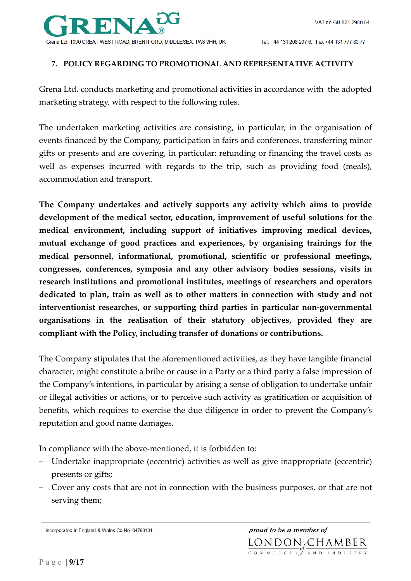

#### **7. POLICY REGARDING TO PROMOTIONAL AND REPRESENTATIVE ACTIVITY**

Grena Ltd. conducts marketing and promotional activities in accordance with the adopted marketing strategy, with respect to the following rules.

The undertaken marketing activities are consisting, in particular, in the organisation of events financed by the Company, participation in fairs and conferences, transferring minor gifts or presents and are covering, in particular: refunding or financing the travel costs as well as expenses incurred with regards to the trip, such as providing food (meals), accommodation and transport.

**The Company undertakes and actively supports any activity which aims to provide development of the medical sector, education, improvement of useful solutions for the medical environment, including support of initiatives improving medical devices, mutual exchange of good practices and experiences, by organising trainings for the medical personnel, informational, promotional, scientific or professional meetings, congresses, conferences, symposia and any other advisory bodies sessions, visits in research institutions and promotional institutes, meetings of researchers and operators dedicated to plan, train as well as to other matters in connection with study and not interventionist researches, or supporting third parties in particular non-governmental organisations in the realisation of their statutory objectives, provided they are compliant with the Policy, including transfer of donations or contributions.** 

The Company stipulates that the aforementioned activities, as they have tangible financial character, might constitute a bribe or cause in a Party or a third party a false impression of the Company's intentions, in particular by arising a sense of obligation to undertake unfair or illegal activities or actions, or to perceive such activity as gratification or acquisition of benefits, which requires to exercise the due diligence in order to prevent the Company's reputation and good name damages.

In compliance with the above-mentioned, it is forbidden to:

- Undertake inappropriate (eccentric) activities as well as give inappropriate (eccentric) presents or gifts;
- Cover any costs that are not in connection with the business purposes, or that are not serving them;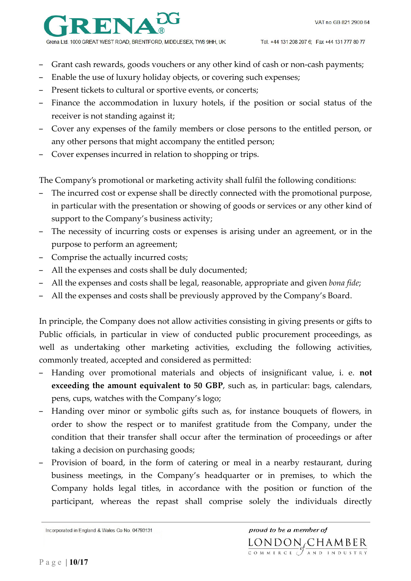

- Grant cash rewards, goods vouchers or any other kind of cash or non-cash payments;
- Enable the use of luxury holiday objects, or covering such expenses;
- Present tickets to cultural or sportive events, or concerts;
- Finance the accommodation in luxury hotels, if the position or social status of the receiver is not standing against it;
- Cover any expenses of the family members or close persons to the entitled person, or any other persons that might accompany the entitled person;
- Cover expenses incurred in relation to shopping or trips.

The Company's promotional or marketing activity shall fulfil the following conditions:

- The incurred cost or expense shall be directly connected with the promotional purpose, in particular with the presentation or showing of goods or services or any other kind of support to the Company's business activity;
- The necessity of incurring costs or expenses is arising under an agreement, or in the purpose to perform an agreement;
- Comprise the actually incurred costs;
- All the expenses and costs shall be duly documented;
- All the expenses and costs shall be legal, reasonable, appropriate and given *bona fide*;
- All the expenses and costs shall be previously approved by the Company's Board.

In principle, the Company does not allow activities consisting in giving presents or gifts to Public officials, in particular in view of conducted public procurement proceedings, as well as undertaking other marketing activities, excluding the following activities, commonly treated, accepted and considered as permitted:

- Handing over promotional materials and objects of insignificant value, i. e. **not exceeding the amount equivalent to 50 GBP**, such as, in particular: bags, calendars, pens, cups, watches with the Company's logo;
- Handing over minor or symbolic gifts such as, for instance bouquets of flowers, in order to show the respect or to manifest gratitude from the Company, under the condition that their transfer shall occur after the termination of proceedings or after taking a decision on purchasing goods;
- Provision of board, in the form of catering or meal in a nearby restaurant, during business meetings, in the Company's headquarter or in premises, to which the Company holds legal titles, in accordance with the position or function of the participant, whereas the repast shall comprise solely the individuals directly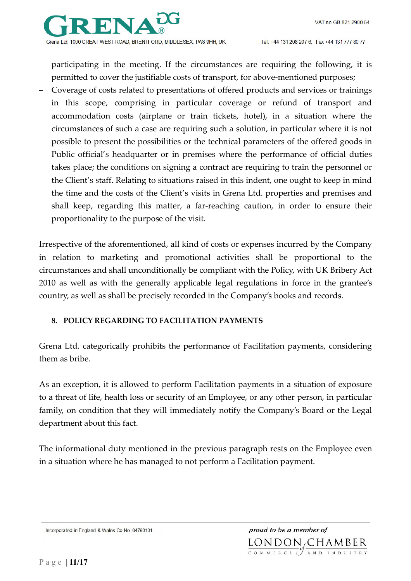

participating in the meeting. If the circumstances are requiring the following, it is permitted to cover the justifiable costs of transport, for above-mentioned purposes;

– Coverage of costs related to presentations of offered products and services or trainings in this scope, comprising in particular coverage or refund of transport and accommodation costs (airplane or train tickets, hotel), in a situation where the circumstances of such a case are requiring such a solution, in particular where it is not possible to present the possibilities or the technical parameters of the offered goods in Public official's headquarter or in premises where the performance of official duties takes place; the conditions on signing a contract are requiring to train the personnel or the Client's staff. Relating to situations raised in this indent, one ought to keep in mind the time and the costs of the Client's visits in Grena Ltd. properties and premises and shall keep, regarding this matter, a far-reaching caution, in order to ensure their proportionality to the purpose of the visit.

Irrespective of the aforementioned, all kind of costs or expenses incurred by the Company in relation to marketing and promotional activities shall be proportional to the circumstances and shall unconditionally be compliant with the Policy, with UK Bribery Act 2010 as well as with the generally applicable legal regulations in force in the grantee's country, as well as shall be precisely recorded in the Company's books and records.

#### **8. POLICY REGARDING TO FACILITATION PAYMENTS**

Grena Ltd. categorically prohibits the performance of Facilitation payments, considering them as bribe.

As an exception, it is allowed to perform Facilitation payments in a situation of exposure to a threat of life, health loss or security of an Employee, or any other person, in particular family, on condition that they will immediately notify the Company's Board or the Legal department about this fact.

The informational duty mentioned in the previous paragraph rests on the Employee even in a situation where he has managed to not perform a Facilitation payment.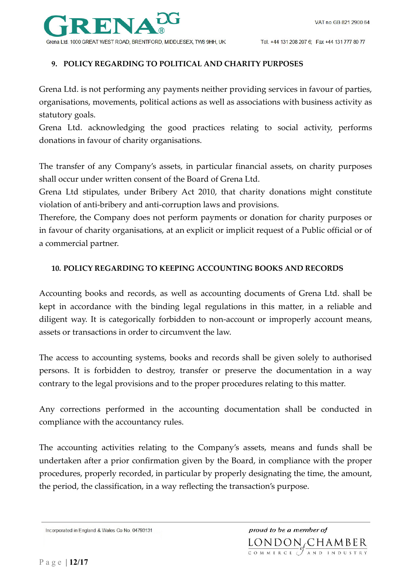

#### **9. POLICY REGARDING TO POLITICAL AND CHARITY PURPOSES**

Grena Ltd. is not performing any payments neither providing services in favour of parties, organisations, movements, political actions as well as associations with business activity as statutory goals.

Grena Ltd. acknowledging the good practices relating to social activity, performs donations in favour of charity organisations.

The transfer of any Company's assets, in particular financial assets, on charity purposes shall occur under written consent of the Board of Grena Ltd.

Grena Ltd stipulates, under Bribery Act 2010, that charity donations might constitute violation of anti-bribery and anti-corruption laws and provisions.

Therefore, the Company does not perform payments or donation for charity purposes or in favour of charity organisations, at an explicit or implicit request of a Public official or of a commercial partner.

#### **10. POLICY REGARDING TO KEEPING ACCOUNTING BOOKS AND RECORDS**

Accounting books and records, as well as accounting documents of Grena Ltd. shall be kept in accordance with the binding legal regulations in this matter, in a reliable and diligent way. It is categorically forbidden to non-account or improperly account means, assets or transactions in order to circumvent the law.

The access to accounting systems, books and records shall be given solely to authorised persons. It is forbidden to destroy, transfer or preserve the documentation in a way contrary to the legal provisions and to the proper procedures relating to this matter.

Any corrections performed in the accounting documentation shall be conducted in compliance with the accountancy rules.

The accounting activities relating to the Company's assets, means and funds shall be undertaken after a prior confirmation given by the Board, in compliance with the proper procedures, properly recorded, in particular by properly designating the time, the amount, the period, the classification, in a way reflecting the transaction's purpose.

Incorporated in England & Wales Co No. 04793131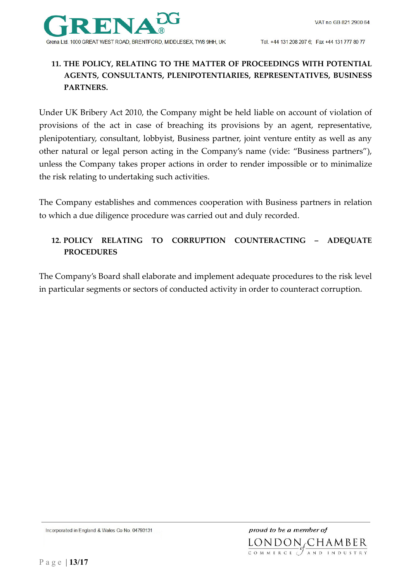

## **11. THE POLICY, RELATING TO THE MATTER OF PROCEEDINGS WITH POTENTIAL AGENTS, CONSULTANTS, PLENIPOTENTIARIES, REPRESENTATIVES, BUSINESS PARTNERS.**

Under UK Bribery Act 2010, the Company might be held liable on account of violation of provisions of the act in case of breaching its provisions by an agent, representative, plenipotentiary, consultant, lobbyist, Business partner, joint venture entity as well as any other natural or legal person acting in the Company's name (vide: "Business partners"), unless the Company takes proper actions in order to render impossible or to minimalize the risk relating to undertaking such activities.

The Company establishes and commences cooperation with Business partners in relation to which a due diligence procedure was carried out and duly recorded.

## **12. POLICY RELATING TO CORRUPTION COUNTERACTING – ADEQUATE PROCEDURES**

The Company's Board shall elaborate and implement adequate procedures to the risk level in particular segments or sectors of conducted activity in order to counteract corruption.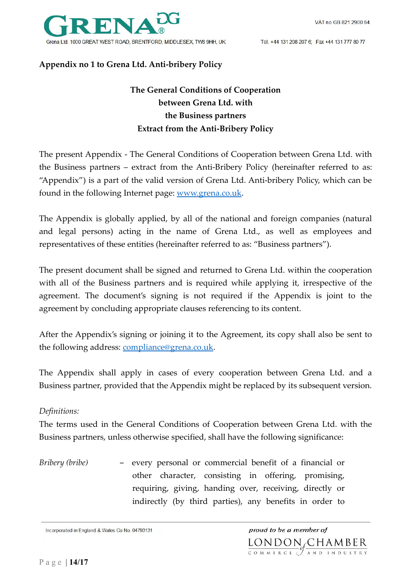

Tel. +44 131 208 207 6; Fax +44 131 777 80 77

## **Appendix no 1 to Grena Ltd. Anti-bribery Policy**

## **The General Conditions of Cooperation between Grena Ltd. with the Business partners Extract from the Anti-Bribery Policy**

The present Appendix - The General Conditions of Cooperation between Grena Ltd. with the Business partners – extract from the Anti-Bribery Policy (hereinafter referred to as: "Appendix") is a part of the valid version of Grena Ltd. Anti-bribery Policy, which can be found in the following Internet page: www.grena.co.uk.

The Appendix is globally applied, by all of the national and foreign companies (natural and legal persons) acting in the name of Grena Ltd., as well as employees and representatives of these entities (hereinafter referred to as: "Business partners").

The present document shall be signed and returned to Grena Ltd. within the cooperation with all of the Business partners and is required while applying it, irrespective of the agreement. The document's signing is not required if the Appendix is joint to the agreement by concluding appropriate clauses referencing to its content.

After the Appendix's signing or joining it to the Agreement, its copy shall also be sent to the following address: compliance@grena.co.uk.

The Appendix shall apply in cases of every cooperation between Grena Ltd. and a Business partner, provided that the Appendix might be replaced by its subsequent version.

## *Definitions:*

The terms used in the General Conditions of Cooperation between Grena Ltd. with the Business partners, unless otherwise specified, shall have the following significance:

*Bribery (bribe)* – every personal or commercial benefit of a financial or other character, consisting in offering, promising, requiring, giving, handing over, receiving, directly or indirectly (by third parties), any benefits in order to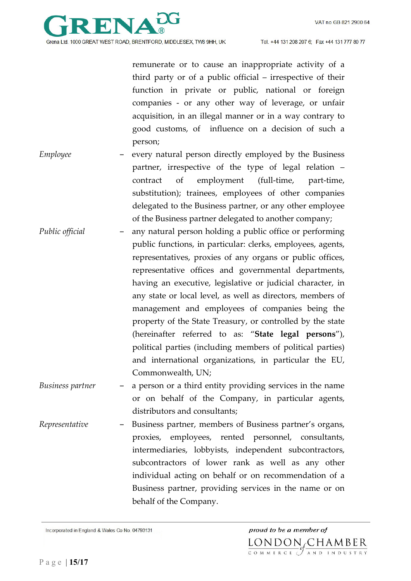

remunerate or to cause an inappropriate activity of a third party or of a public official – irrespective of their function in private or public, national or foreign companies - or any other way of leverage, or unfair acquisition, in an illegal manner or in a way contrary to good customs, of influence on a decision of such a person;

- *Employee* every natural person directly employed by the Business partner, irrespective of the type of legal relation – contract of employment (full-time, part-time, substitution); trainees, employees of other companies delegated to the Business partner, or any other employee of the Business partner delegated to another company;
- *Public official*  any natural person holding a public office or performing public functions, in particular: clerks, employees, agents, representatives, proxies of any organs or public offices, representative offices and governmental departments, having an executive, legislative or judicial character, in any state or local level, as well as directors, members of management and employees of companies being the property of the State Treasury, or controlled by the state (hereinafter referred to as: "**State legal persons**"), political parties (including members of political parties) and international organizations, in particular the EU, Commonwealth, UN;
- *Business partner* a person or a third entity providing services in the name or on behalf of the Company, in particular agents, distributors and consultants;
- *Representative* Business partner, members of Business partner's organs, proxies, employees, rented personnel, consultants, intermediaries, lobbyists, independent subcontractors, subcontractors of lower rank as well as any other individual acting on behalf or on recommendation of a Business partner, providing services in the name or on behalf of the Company.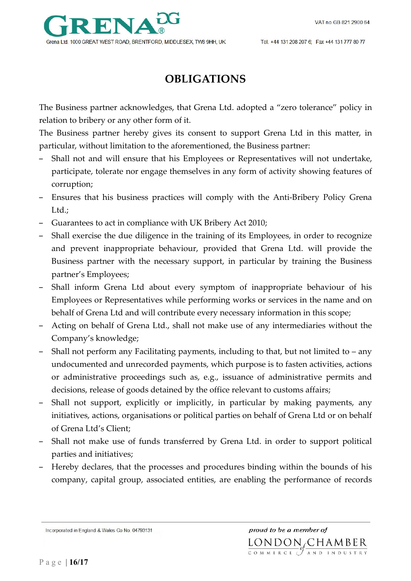

# **OBLIGATIONS**

The Business partner acknowledges, that Grena Ltd. adopted a "zero tolerance" policy in relation to bribery or any other form of it.

The Business partner hereby gives its consent to support Grena Ltd in this matter, in particular, without limitation to the aforementioned, the Business partner:

- Shall not and will ensure that his Employees or Representatives will not undertake, participate, tolerate nor engage themselves in any form of activity showing features of corruption;
- Ensures that his business practices will comply with the Anti-Bribery Policy Grena Ltd.;
- Guarantees to act in compliance with UK Bribery Act 2010;
- Shall exercise the due diligence in the training of its Employees, in order to recognize and prevent inappropriate behaviour, provided that Grena Ltd. will provide the Business partner with the necessary support, in particular by training the Business partner's Employees;
- Shall inform Grena Ltd about every symptom of inappropriate behaviour of his Employees or Representatives while performing works or services in the name and on behalf of Grena Ltd and will contribute every necessary information in this scope;
- Acting on behalf of Grena Ltd., shall not make use of any intermediaries without the Company's knowledge;
- Shall not perform any Facilitating payments, including to that, but not limited to any undocumented and unrecorded payments, which purpose is to fasten activities, actions or administrative proceedings such as, e.g., issuance of administrative permits and decisions, release of goods detained by the office relevant to customs affairs;
- Shall not support, explicitly or implicitly, in particular by making payments, any initiatives, actions, organisations or political parties on behalf of Grena Ltd or on behalf of Grena Ltd's Client;
- Shall not make use of funds transferred by Grena Ltd. in order to support political parties and initiatives;
- Hereby declares, that the processes and procedures binding within the bounds of his company, capital group, associated entities, are enabling the performance of records